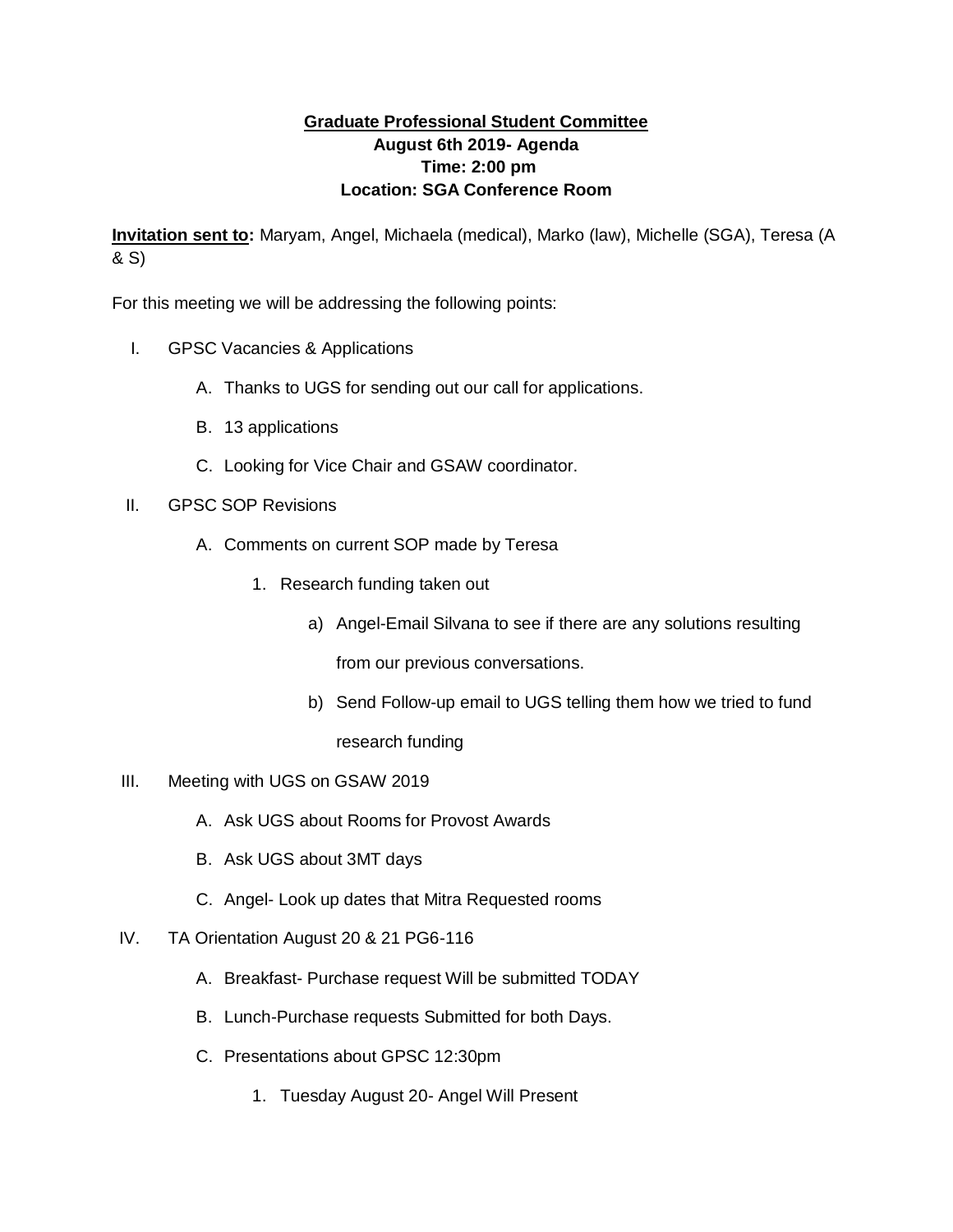## **Graduate Professional Student Committee August 6th 2019- Agenda Time: 2:00 pm Location: SGA Conference Room**

**Invitation sent to:** Maryam, Angel, Michaela (medical), Marko (law), Michelle (SGA), Teresa (A & S)

For this meeting we will be addressing the following points:

- I. GPSC Vacancies & Applications
	- A. Thanks to UGS for sending out our call for applications.
	- B. 13 applications
	- C. Looking for Vice Chair and GSAW coordinator.
- II. GPSC SOP Revisions
	- A. Comments on current SOP made by Teresa
		- 1. Research funding taken out
			- a) Angel-Email Silvana to see if there are any solutions resulting

from our previous conversations.

- b) Send Follow-up email to UGS telling them how we tried to fund research funding
- III. Meeting with UGS on GSAW 2019
	- A. Ask UGS about Rooms for Provost Awards
	- B. Ask UGS about 3MT days
	- C. Angel- Look up dates that Mitra Requested rooms
- IV. TA Orientation August 20 & 21 PG6-116
	- A. Breakfast- Purchase request Will be submitted TODAY
	- B. Lunch-Purchase requests Submitted for both Days.
	- C. Presentations about GPSC 12:30pm
		- 1. Tuesday August 20- Angel Will Present